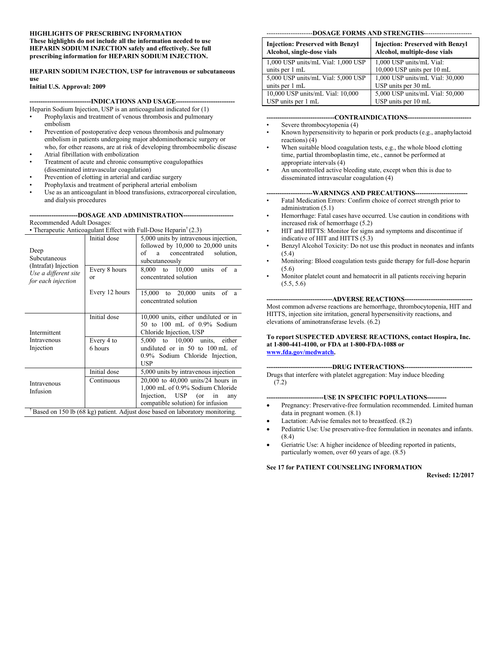#### **HIGHLIGHTS OF PRESCRIBING INFORMATION These highlights do not include all the information needed to use**

**HEPARIN SODIUM INJECTION safely and effectively. See full prescribing information for HEPARIN SODIUM INJECTION.**

**HEPARIN SODIUM INJECTION, USP for intravenous or subcutaneous use** 

#### **Initial U.S. Approval: 2009**

#### ----INDICATIONS AND USAGE---

- Heparin Sodium Injection, USP is an anticoagulant indicated for (1) • Prophylaxis and treatment of venous thrombosis and pulmonary
- embolism Prevention of postoperative deep venous thrombosis and pulmonary embolism in patients undergoing major abdominothoracic surgery or who, for other reasons, are at risk of developing thromboembolic disease
- Atrial fibrillation with embolization
- Treatment of acute and chronic consumptive coagulopathies (disseminated intravascular coagulation)
- Prevention of clotting in arterial and cardiac surgery
- Prophylaxis and treatment of peripheral arterial embolism
- Use as an anticoagulant in blood transfusions, extracorporeal circulation, and dialysis procedures

#### **----------------------DOSAGE AND ADMINISTRATION-----------------------**

#### Recommended Adult Dosages:

| • Therapeutic Anticoagulant Effect with Full-Dose Heparin <sup><math>\dagger</math></sup> (2.3) |                               |                                                                                                                                                                                                                 |  |  |
|-------------------------------------------------------------------------------------------------|-------------------------------|-----------------------------------------------------------------------------------------------------------------------------------------------------------------------------------------------------------------|--|--|
| Deep<br>Subcutaneous<br>(Intrafat) Injection<br>Use a different site<br>for each injection      | Initial dose<br>Every 8 hours | 5,000 units by intravenous injection,<br>followed by $10,000$ to $20,000$ units<br>of<br>concentrated<br>solution.<br>a.<br>subcutaneously<br>units<br>8.000<br>to $10,000$<br>of<br>a<br>concentrated solution |  |  |
|                                                                                                 | or                            |                                                                                                                                                                                                                 |  |  |
|                                                                                                 | Every 12 hours                | 20,000<br>units<br>15,000<br>of a<br>to<br>concentrated solution                                                                                                                                                |  |  |
| Intermittent<br>Intravenous<br>Injection                                                        | Initial dose                  | 10,000 units, either undiluted or in<br>50 to 100 mL of 0.9% Sodium<br>Chloride Injection, USP                                                                                                                  |  |  |
|                                                                                                 | Every 4 to<br>6 hours         | 5,000 to 10,000 units, either<br>undiluted or in 50 to 100 mL of<br>0.9% Sodium Chloride Injection,<br><b>USP</b>                                                                                               |  |  |
| Intravenous<br>Infusion                                                                         | Initial dose                  | 5,000 units by intravenous injection                                                                                                                                                                            |  |  |
|                                                                                                 | Continuous                    | 20,000 to 40,000 units/24 hours in<br>1,000 mL of 0.9% Sodium Chloride<br>Injection, USP (or in<br>any<br>compatible solution) for infusion                                                                     |  |  |
| <sup>†</sup> Based on 150 lb (68 kg) patient. Adjust dose based on laboratory monitoring.       |                               |                                                                                                                                                                                                                 |  |  |

#### ---------------------**DOSAGE FORMS AND STRENGTHS**----------------------

| <b>Injection: Preserved with Benzyl</b><br>Alcohol, single-dose vials | <b>Injection: Preserved with Benzyl</b><br>Alcohol, multiple-dose vials |  |
|-----------------------------------------------------------------------|-------------------------------------------------------------------------|--|
| 1,000 USP units/mL Vial: 1,000 USP                                    | 1,000 USP units/mL Vial:                                                |  |
| units per 1 mL                                                        | 10,000 USP units per 10 mL                                              |  |
| 5,000 USP units/mL Vial: 5,000 USP                                    | 1,000 USP units/mL Vial: 30,000                                         |  |
| units per 1 mL                                                        | USP units per 30 mL                                                     |  |
| 10,000 USP units/mL Vial: 10,000                                      | 5,000 USP units/mL Vial: 50,000                                         |  |
| USP units per 1 mL                                                    | USP units per 10 mL                                                     |  |

#### -CONTRAINDICATIONS---

- Severe thrombocytopenia (4)
- Known hypersensitivity to heparin or pork products (e.g., anaphylactoid reactions) (4)
- When suitable blood coagulation tests, e.g., the whole blood clotting time, partial thromboplastin time, etc., cannot be performed at appropriate intervals (4)
- An uncontrolled active bleeding state, except when this is due to disseminated intravascular coagulation (4)

#### --WARNINGS AND PRECAUTIONS---

- Fatal Medication Errors: Confirm choice of correct strength prior to administration (5.1)
- Hemorrhage: Fatal cases have occurred. Use caution in conditions with increased risk of hemorrhage (5.2)
- HIT and HITTS: Monitor for signs and symptoms and discontinue if indicative of HIT and HITTS (5.3)
- Benzyl Alcohol Toxicity: Do not use this product in neonates and infants (5.4)
- Monitoring: Blood coagulation tests guide therapy for full-dose heparin (5.6)
- Monitor platelet count and hematocrit in all patients receiving heparin (5.5, 5.6)

#### ---ADVERSE REACTIONS----

Most common adverse reactions are hemorrhage, thrombocytopenia, HIT and HITTS, injection site irritation, general hypersensitivity reactions, and elevations of aminotransferase levels. (6.2)

#### **To report SUSPECTED ADVERSE REACTIONS, contact Hospira, Inc. at 1-800-441-4100, or FDA at 1-800-FDA-1088 or [www.fda.gov/medwatch.](https://www.fda.gov/Safety/MedWatch/default.htm)**

#### **------------------------------DRUG INTERACTIONS-------------------------------**

Drugs that interfere with platelet aggregation: May induce bleeding (7.2)

#### **--USE IN SPECIFIC POPULATIONS---**

- Pregnancy: Preservative-free formulation recommended. Limited human data in pregnant women. (8.1)
- Lactation: Advise females not to breastfeed. (8.2)
- Pediatric Use: Use preservative-free formulation in neonates and infants. (8.4)
- Geriatric Use: A higher incidence of bleeding reported in patients, particularly women, over 60 years of age. (8.5)

#### **See 17 for PATIENT COUNSELING INFORMATION**

**Revised: 12/2017**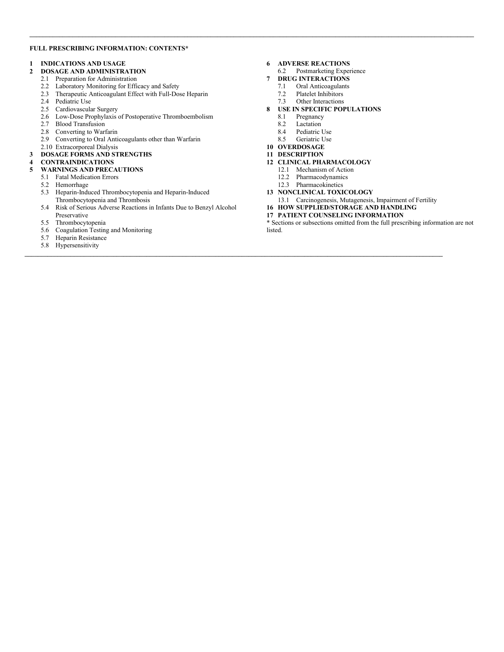#### **FULL PRESCRIBING INFORMATION: CONTENTS\***

#### **1 INDICATIONS AND USAGE**

# **2 DOSAGE AND ADMINISTRATION**

- 2.1 Preparation for Administration
- 2.2 Laboratory Monitoring for Efficacy and Safety
- 2.3 Therapeutic Anticoagulant Effect with Full-Dose Heparin
- 2.4 Pediatric Use
- 2.5 Cardiovascular Surgery
- 2.6 Low-Dose Prophylaxis of Postoperative Thromboembolism
- 2.7 Blood Transfusion
- 2.8 Converting to Warfarin
- 2.9 Converting to Oral Anticoagulants other than Warfarin
- 2.10 Extracorporeal Dialysis
- **3 DOSAGE FORMS AND STRENGTHS**
- **4 CONTRAINDICATIONS**
- **5 WARNINGS AND PRECAUTIONS** 
	- 5.1 Fatal Medication Errors
	- 5.2 Hemorrhage
	- 5.3 Heparin-Induced Thrombocytopenia and Heparin-Induced Thrombocytopenia and Thrombosis
	- 5.4 Risk of Serious Adverse Reactions in Infants Due to Benzyl Alcohol Preservative
	- 5.5 Thrombocytopenia<br>5.6 Coagulation Testing
	- 5.6 Coagulation Testing and Monitoring
	- 5.7 Heparin Resistance
- 5.8 Hypersensitivity **\_\_\_\_\_\_\_\_\_\_\_\_\_\_\_\_\_\_\_\_\_\_\_\_\_\_\_\_\_\_\_\_\_\_\_\_\_\_\_\_\_\_\_\_\_\_\_\_\_\_\_\_\_\_\_\_\_\_\_\_\_\_\_\_\_\_\_\_\_\_\_\_\_\_\_\_\_\_\_\_\_\_\_\_\_\_\_\_\_\_\_\_\_\_\_\_\_\_\_\_\_\_\_\_\_\_\_\_\_\_\_\_\_\_\_\_\_\_\_\_\_\_\_\_\_\_\_**

**6 ADVERSE REACTIONS** 

 $\mathcal{L} = \{ \mathcal{L} = \{ \mathcal{L} = \{ \mathcal{L} = \{ \mathcal{L} = \{ \mathcal{L} = \{ \mathcal{L} = \{ \mathcal{L} = \{ \mathcal{L} = \{ \mathcal{L} = \{ \mathcal{L} = \{ \mathcal{L} = \{ \mathcal{L} = \{ \mathcal{L} = \{ \mathcal{L} = \{ \mathcal{L} = \{ \mathcal{L} = \{ \mathcal{L} = \{ \mathcal{L} = \{ \mathcal{L} = \{ \mathcal{L} = \{ \mathcal{L} = \{ \mathcal{L} = \{ \mathcal{L} = \{ \mathcal{$ 

- 6.2 Postmarketing Experience
- **7 DRUG INTERACTIONS** 
	- 7.1 Oral Anticoagulants<br>7.2 Platelet Inhibitors
		- Platelet Inhibitors
	- 7.3 Other Interactions
- **8 USE IN SPECIFIC POPULATIONS** 
	- Pregnancy
	- 8.2 Lactation
	- 8.4 Pediatric Use<br>8.5 Geriatric Use Geriatric Use
- **10 OVERDOSAGE**
- **11 DESCRIPTION**
- **12 CLINICAL PHARMACOLOGY** 
	- 12.1 Mechanism of Action
	- 12.2 Pharmacodynamics
	- 12.3 Pharmacokinetics
- **13 NONCLINICAL TOXICOLOGY**
- 13.1 Carcinogenesis, Mutagenesis, Impairment of Fertility
- **16 HOW SUPPLIED/STORAGE AND HANDLING**
- **17 PATIENT COUNSELING INFORMATION**

\* Sections or subsections omitted from the full prescribing information are not listed.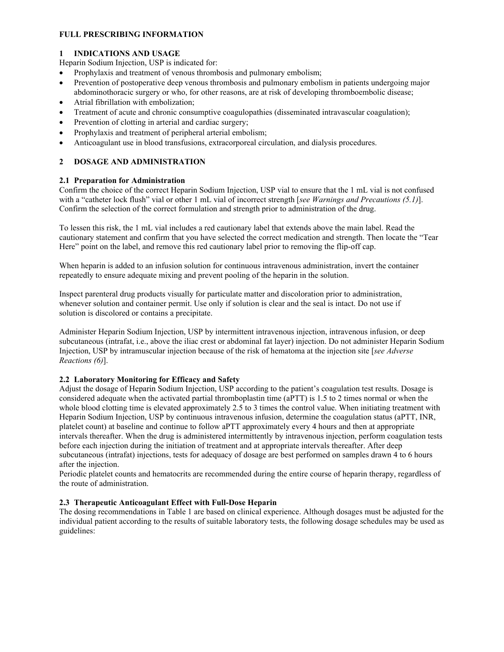## **FULL PRESCRIBING INFORMATION**

## **1 INDICATIONS AND USAGE**

Heparin Sodium Injection, USP is indicated for:

- Prophylaxis and treatment of venous thrombosis and pulmonary embolism;
- Prevention of postoperative deep venous thrombosis and pulmonary embolism in patients undergoing major abdominothoracic surgery or who, for other reasons, are at risk of developing thromboembolic disease;
- Atrial fibrillation with embolization;
- Treatment of acute and chronic consumptive coagulopathies (disseminated intravascular coagulation);
- Prevention of clotting in arterial and cardiac surgery;
- Prophylaxis and treatment of peripheral arterial embolism;
- Anticoagulant use in blood transfusions, extracorporeal circulation, and dialysis procedures.

#### **2 DOSAGE AND ADMINISTRATION**

#### **2.1 Preparation for Administration**

Confirm the choice of the correct Heparin Sodium Injection, USP vial to ensure that the 1 mL vial is not confused with a "catheter lock flush" vial or other 1 mL vial of incorrect strength [*see Warnings and Precautions (5.1)*]. Confirm the selection of the correct formulation and strength prior to administration of the drug.

To lessen this risk, the 1 mL vial includes a red cautionary label that extends above the main label. Read the cautionary statement and confirm that you have selected the correct medication and strength. Then locate the "Tear Here" point on the label, and remove this red cautionary label prior to removing the flip-off cap.

When heparin is added to an infusion solution for continuous intravenous administration, invert the container repeatedly to ensure adequate mixing and prevent pooling of the heparin in the solution.

Inspect parenteral drug products visually for particulate matter and discoloration prior to administration, whenever solution and container permit. Use only if solution is clear and the seal is intact. Do not use if solution is discolored or contains a precipitate.

Administer Heparin Sodium Injection, USP by intermittent intravenous injection, intravenous infusion, or deep subcutaneous (intrafat, i.e., above the iliac crest or abdominal fat layer) injection. Do not administer Heparin Sodium Injection, USP by intramuscular injection because of the risk of hematoma at the injection site [*see Adverse Reactions (6)*].

#### **2.2 Laboratory Monitoring for Efficacy and Safety**

Adjust the dosage of Heparin Sodium Injection, USP according to the patient's coagulation test results. Dosage is considered adequate when the activated partial thromboplastin time (aPTT) is 1.5 to 2 times normal or when the whole blood clotting time is elevated approximately 2.5 to 3 times the control value. When initiating treatment with Heparin Sodium Injection, USP by continuous intravenous infusion, determine the coagulation status (aPTT, INR, platelet count) at baseline and continue to follow aPTT approximately every 4 hours and then at appropriate intervals thereafter. When the drug is administered intermittently by intravenous injection, perform coagulation tests before each injection during the initiation of treatment and at appropriate intervals thereafter. After deep subcutaneous (intrafat) injections, tests for adequacy of dosage are best performed on samples drawn 4 to 6 hours after the injection.

Periodic platelet counts and hematocrits are recommended during the entire course of heparin therapy, regardless of the route of administration.

#### **2.3 Therapeutic Anticoagulant Effect with Full-Dose Heparin**

The dosing recommendations in Table 1 are based on clinical experience. Although dosages must be adjusted for the individual patient according to the results of suitable laboratory tests, the following dosage schedules may be used as guidelines: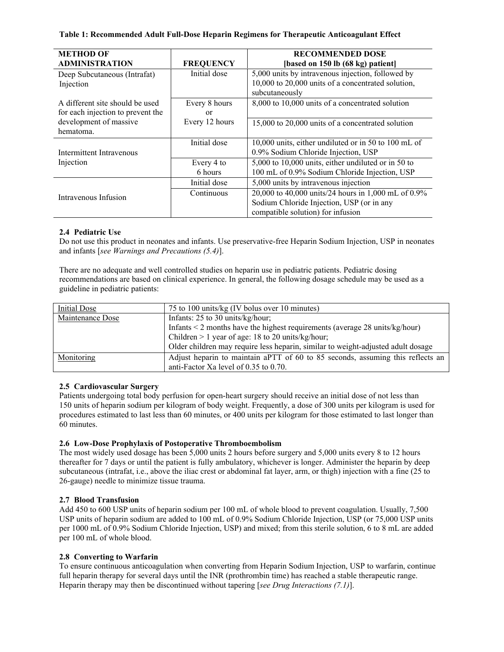| <b>METHOD OF</b>                      |                  | <b>RECOMMENDED DOSE</b>                               |
|---------------------------------------|------------------|-------------------------------------------------------|
| <b>ADMINISTRATION</b>                 | <b>FREQUENCY</b> | [based on 150 lb (68 kg) patient]                     |
| Deep Subcutaneous (Intrafat)          | Initial dose     | 5,000 units by intravenous injection, followed by     |
| Injection                             |                  | 10,000 to 20,000 units of a concentrated solution,    |
|                                       |                  | subcutaneously                                        |
| A different site should be used       | Every 8 hours    | 8,000 to 10,000 units of a concentrated solution      |
| for each injection to prevent the     | or               |                                                       |
| development of massive                | Every 12 hours   | 15,000 to 20,000 units of a concentrated solution     |
| hematoma.                             |                  |                                                       |
| Intermittent Intravenous<br>Injection | Initial dose     | 10,000 units, either undiluted or in 50 to 100 mL of  |
|                                       |                  | 0.9% Sodium Chloride Injection, USP                   |
|                                       | Every 4 to       | $5,000$ to 10,000 units, either undiluted or in 50 to |
|                                       | 6 hours          | 100 mL of 0.9% Sodium Chloride Injection, USP         |
| Intravenous Infusion                  | Initial dose     | 5,000 units by intravenous injection                  |
|                                       | Continuous       | 20,000 to 40,000 units/24 hours in 1,000 mL of 0.9%   |
|                                       |                  | Sodium Chloride Injection, USP (or in any             |
|                                       |                  | compatible solution) for infusion                     |

# **2.4 Pediatric Use**

Do not use this product in neonates and infants. Use preservative-free Heparin Sodium Injection, USP in neonates and infants [*see Warnings and Precautions (5.4)*].

There are no adequate and well controlled studies on heparin use in pediatric patients. Pediatric dosing recommendations are based on clinical experience. In general, the following dosage schedule may be used as a guideline in pediatric patients:

| Initial Dose     | 75 to 100 units/kg (IV bolus over 10 minutes)                                                                           |  |
|------------------|-------------------------------------------------------------------------------------------------------------------------|--|
| Maintenance Dose | Infants: 25 to 30 units/kg/hour;                                                                                        |  |
|                  | Infants $\leq$ 2 months have the highest requirements (average 28 units/kg/hour)                                        |  |
|                  | Children $> 1$ year of age: 18 to 20 units/kg/hour;                                                                     |  |
|                  | Older children may require less heparin, similar to weight-adjusted adult dosage                                        |  |
| Monitoring       | Adjust heparin to maintain aPTT of 60 to 85 seconds, assuming this reflects an<br>anti-Factor Xa level of 0.35 to 0.70. |  |

# **2.5 Cardiovascular Surgery**

Patients undergoing total body perfusion for open-heart surgery should receive an initial dose of not less than 150 units of heparin sodium per kilogram of body weight. Frequently, a dose of 300 units per kilogram is used for procedures estimated to last less than 60 minutes, or 400 units per kilogram for those estimated to last longer than 60 minutes.

## **2.6 Low-Dose Prophylaxis of Postoperative Thromboembolism**

The most widely used dosage has been 5,000 units 2 hours before surgery and 5,000 units every 8 to 12 hours thereafter for 7 days or until the patient is fully ambulatory, whichever is longer. Administer the heparin by deep subcutaneous (intrafat, i.e., above the iliac crest or abdominal fat layer, arm, or thigh) injection with a fine (25 to 26-gauge) needle to minimize tissue trauma.

# **2.7 Blood Transfusion**

Add 450 to 600 USP units of heparin sodium per 100 mL of whole blood to prevent coagulation. Usually, 7,500 USP units of heparin sodium are added to 100 mL of 0.9% Sodium Chloride Injection, USP (or 75,000 USP units per 1000 mL of 0.9% Sodium Chloride Injection, USP) and mixed; from this sterile solution, 6 to 8 mL are added per 100 mL of whole blood.

## **2.8 Converting to Warfarin**

To ensure continuous anticoagulation when converting from Heparin Sodium Injection, USP to warfarin, continue full heparin therapy for several days until the INR (prothrombin time) has reached a stable therapeutic range. Heparin therapy may then be discontinued without tapering [*see Drug Interactions (7.1)*].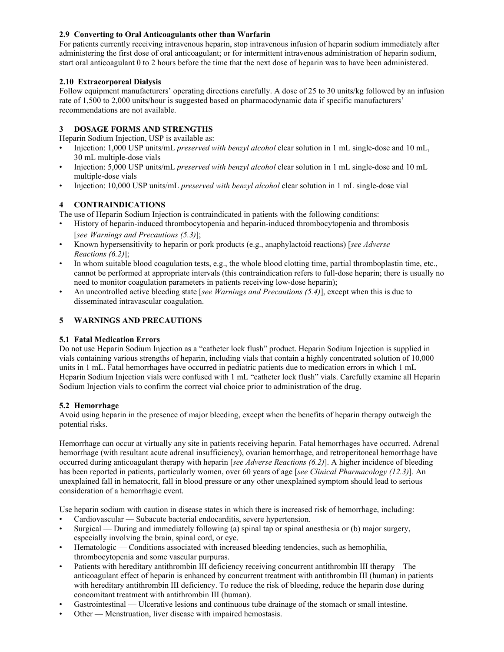# **2.9 Converting to Oral Anticoagulants other than Warfarin**

For patients currently receiving intravenous heparin, stop intravenous infusion of heparin sodium immediately after administering the first dose of oral anticoagulant; or for intermittent intravenous administration of heparin sodium, start oral anticoagulant 0 to 2 hours before the time that the next dose of heparin was to have been administered.

## **2.10 Extracorporeal Dialysis**

Follow equipment manufacturers' operating directions carefully. A dose of 25 to 30 units/kg followed by an infusion rate of 1,500 to 2,000 units/hour is suggested based on pharmacodynamic data if specific manufacturers' recommendations are not available.

# **3 DOSAGE FORMS AND STRENGTHS**

Heparin Sodium Injection, USP is available as:

- Injection: 1,000 USP units/mL *preserved with benzyl alcohol* clear solution in 1 mL single-dose and 10 mL, 30 mL multiple-dose vials
- Injection: 5,000 USP units/mL *preserved with benzyl alcohol* clear solution in 1 mL single-dose and 10 mL multiple-dose vials
- Injection: 10,000 USP units/mL *preserved with benzyl alcohol* clear solution in 1 mL single-dose vial

# **4 CONTRAINDICATIONS**

- The use of Heparin Sodium Injection is contraindicated in patients with the following conditions:
- History of heparin-induced thrombocytopenia and heparin-induced thrombocytopenia and thrombosis [*see Warnings and Precautions (5.3)*];
- Known hypersensitivity to heparin or pork products (e.g., anaphylactoid reactions) [*see Adverse Reactions (6.2)*];
- In whom suitable blood coagulation tests, e.g., the whole blood clotting time, partial thromboplastin time, etc., cannot be performed at appropriate intervals (this contraindication refers to full-dose heparin; there is usually no need to monitor coagulation parameters in patients receiving low-dose heparin);
- An uncontrolled active bleeding state [*see Warnings and Precautions (5.4)*], except when this is due to disseminated intravascular coagulation.

# **5 WARNINGS AND PRECAUTIONS**

## **5.1 Fatal Medication Errors**

Do not use Heparin Sodium Injection as a "catheter lock flush" product. Heparin Sodium Injection is supplied in vials containing various strengths of heparin, including vials that contain a highly concentrated solution of 10,000 units in 1 mL. Fatal hemorrhages have occurred in pediatric patients due to medication errors in which 1 mL Heparin Sodium Injection vials were confused with 1 mL "catheter lock flush" vials. Carefully examine all Heparin Sodium Injection vials to confirm the correct vial choice prior to administration of the drug.

## **5.2 Hemorrhage**

Avoid using heparin in the presence of major bleeding, except when the benefits of heparin therapy outweigh the potential risks.

Hemorrhage can occur at virtually any site in patients receiving heparin. Fatal hemorrhages have occurred. Adrenal hemorrhage (with resultant acute adrenal insufficiency), ovarian hemorrhage, and retroperitoneal hemorrhage have occurred during anticoagulant therapy with heparin [*see Adverse Reactions (6.2)*]. A higher incidence of bleeding has been reported in patients, particularly women, over 60 years of age [*see Clinical Pharmacology (12.3)*]*.* An unexplained fall in hematocrit, fall in blood pressure or any other unexplained symptom should lead to serious consideration of a hemorrhagic event.

Use heparin sodium with caution in disease states in which there is increased risk of hemorrhage, including:

- Cardiovascular Subacute bacterial endocarditis, severe hypertension.
- Surgical During and immediately following (a) spinal tap or spinal anesthesia or (b) major surgery, especially involving the brain, spinal cord, or eye.
- Hematologic Conditions associated with increased bleeding tendencies, such as hemophilia, thrombocytopenia and some vascular purpuras.
- Patients with hereditary antithrombin III deficiency receiving concurrent antithrombin III therapy The anticoagulant effect of heparin is enhanced by concurrent treatment with antithrombin III (human) in patients with hereditary antithrombin III deficiency. To reduce the risk of bleeding, reduce the heparin dose during concomitant treatment with antithrombin III (human).
- Gastrointestinal Ulcerative lesions and continuous tube drainage of the stomach or small intestine.
- Other Menstruation, liver disease with impaired hemostasis.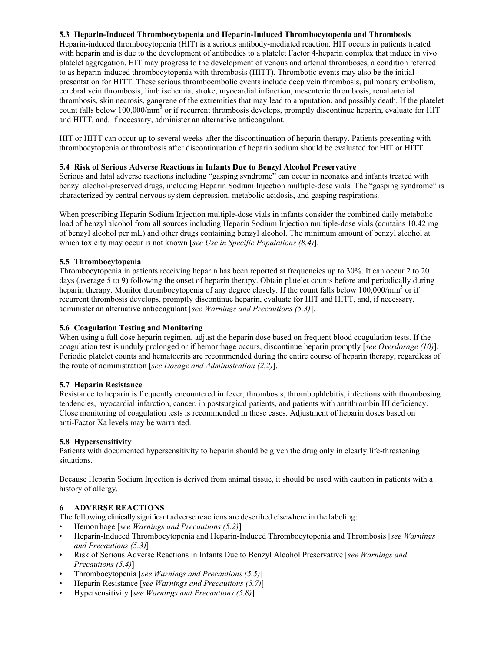# **5.3 Heparin-Induced Thrombocytopenia and Heparin-Induced Thrombocytopenia and Thrombosis**

Heparin-induced thrombocytopenia (HIT) is a serious antibody-mediated reaction. HIT occurs in patients treated with heparin and is due to the development of antibodies to a platelet Factor 4-heparin complex that induce in vivo platelet aggregation. HIT may progress to the development of venous and arterial thromboses, a condition referred to as heparin-induced thrombocytopenia with thrombosis (HITT). Thrombotic events may also be the initial presentation for HITT. These serious thromboembolic events include deep vein thrombosis, pulmonary embolism, cerebral vein thrombosis, limb ischemia, stroke, myocardial infarction, mesenteric thrombosis, renal arterial thrombosis, skin necrosis, gangrene of the extremities that may lead to amputation, and possibly death. If the platelet count falls below 100,000/mm<sup>3</sup> or if recurrent thrombosis develops, promptly discontinue heparin, evaluate for HIT and HITT, and, if necessary, administer an alternative anticoagulant.

HIT or HITT can occur up to several weeks after the discontinuation of heparin therapy. Patients presenting with thrombocytopenia or thrombosis after discontinuation of heparin sodium should be evaluated for HIT or HITT.

## **5.4 Risk of Serious Adverse Reactions in Infants Due to Benzyl Alcohol Preservative**

Serious and fatal adverse reactions including "gasping syndrome" can occur in neonates and infants treated with benzyl alcohol-preserved drugs, including Heparin Sodium Injection multiple-dose vials. The "gasping syndrome" is characterized by central nervous system depression, metabolic acidosis, and gasping respirations.

When prescribing Heparin Sodium Injection multiple-dose vials in infants consider the combined daily metabolic load of benzyl alcohol from all sources including Heparin Sodium Injection multiple-dose vials (contains 10.42 mg of benzyl alcohol per mL) and other drugs containing benzyl alcohol. The minimum amount of benzyl alcohol at which toxicity may occur is not known [*see Use in Specific Populations (8.4)*].

## **5.5 Thrombocytopenia**

Thrombocytopenia in patients receiving heparin has been reported at frequencies up to 30%. It can occur 2 to 20 days (average 5 to 9) following the onset of heparin therapy. Obtain platelet counts before and periodically during heparin therapy. Monitor thrombocytopenia of any degree closely. If the count falls below 100,000/mm<sup>3</sup> or if recurrent thrombosis develops, promptly discontinue heparin, evaluate for HIT and HITT, and, if necessary, administer an alternative anticoagulant [*see Warnings and Precautions (5.3)*].

#### **5.6 Coagulation Testing and Monitoring**

When using a full dose heparin regimen, adjust the heparin dose based on frequent blood coagulation tests. If the coagulation test is unduly prolonged or if hemorrhage occurs, discontinue heparin promptly [*see Overdosage (10)*]. Periodic platelet counts and hematocrits are recommended during the entire course of heparin therapy, regardless of the route of administration [*see Dosage and Administration (2.2)*].

#### **5.7 Heparin Resistance**

Resistance to heparin is frequently encountered in fever, thrombosis, thrombophlebitis, infections with thrombosing tendencies, myocardial infarction, cancer, in postsurgical patients, and patients with antithrombin III deficiency. Close monitoring of coagulation tests is recommended in these cases. Adjustment of heparin doses based on anti-Factor Xa levels may be warranted.

## **5.8 Hypersensitivity**

Patients with documented hypersensitivity to heparin should be given the drug only in clearly life-threatening situations.

Because Heparin Sodium Injection is derived from animal tissue, it should be used with caution in patients with a history of allergy.

## **6 ADVERSE REACTIONS**

The following clinically significant adverse reactions are described elsewhere in the labeling:

- Hemorrhage [*see Warnings and Precautions (5.2)*]
- Heparin-Induced Thrombocytopenia and Heparin-Induced Thrombocytopenia and Thrombosis [*see Warnings and Precautions (5.3)*]
- Risk of Serious Adverse Reactions in Infants Due to Benzyl Alcohol Preservative [*see Warnings and Precautions (5.4)*]
- Thrombocytopenia [*see Warnings and Precautions (5.5)*]
- Heparin Resistance [*see Warnings and Precautions (5.7)*]
- Hypersensitivity [*see Warnings and Precautions (5.8)*]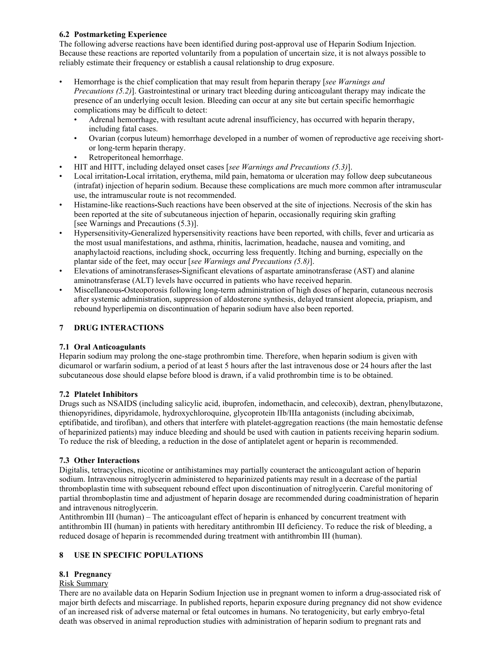# **6.2 Postmarketing Experience**

The following adverse reactions have been identified during post-approval use of Heparin Sodium Injection. Because these reactions are reported voluntarily from a population of uncertain size, it is not always possible to reliably estimate their frequency or establish a causal relationship to drug exposure.

- Hemorrhage is the chief complication that may result from heparin therapy [*see Warnings and Precautions (5.2)*]. Gastrointestinal or urinary tract bleeding during anticoagulant therapy may indicate the presence of an underlying occult lesion. Bleeding can occur at any site but certain specific hemorrhagic complications may be difficult to detect:
	- Adrenal hemorrhage, with resultant acute adrenal insufficiency, has occurred with heparin therapy, including fatal cases.
	- Ovarian (corpus luteum) hemorrhage developed in a number of women of reproductive age receiving shortor long-term heparin therapy.
	- Retroperitoneal hemorrhage.
- HIT and HITT, including delayed onset cases [*see Warnings and Precautions (5.3)*].
- Local irritation**-**Local irritation, erythema, mild pain, hematoma or ulceration may follow deep subcutaneous (intrafat) injection of heparin sodium. Because these complications are much more common after intramuscular use, the intramuscular route is not recommended.
- Histamine-like reactions**-**Such reactions have been observed at the site of injections. Necrosis of the skin has been reported at the site of subcutaneous injection of heparin, occasionally requiring skin grafting [see Warnings and Precautions (5.3)].
- Hypersensitivity**-**Generalized hypersensitivity reactions have been reported, with chills, fever and urticaria as the most usual manifestations, and asthma, rhinitis, lacrimation, headache, nausea and vomiting, and anaphylactoid reactions, including shock, occurring less frequently. Itching and burning, especially on the plantar side of the feet, may occur [*see Warnings and Precautions (5.8)*].
- Elevations of aminotransferases**-**Significant elevations of aspartate aminotransferase (AST) and alanine aminotransferase (ALT) levels have occurred in patients who have received heparin.
- Miscellaneous**-**Osteoporosis following long-term administration of high doses of heparin, cutaneous necrosis after systemic administration, suppression of aldosterone synthesis, delayed transient alopecia, priapism, and rebound hyperlipemia on discontinuation of heparin sodium have also been reported.

## **7 DRUG INTERACTIONS**

## **7.1 Oral Anticoagulants**

Heparin sodium may prolong the one-stage prothrombin time. Therefore, when heparin sodium is given with dicumarol or warfarin sodium, a period of at least 5 hours after the last intravenous dose or 24 hours after the last subcutaneous dose should elapse before blood is drawn, if a valid prothrombin time is to be obtained.

## **7.2 Platelet Inhibitors**

Drugs such as NSAIDS (including salicylic acid, ibuprofen, indomethacin, and celecoxib), dextran, phenylbutazone, thienopyridines, dipyridamole, hydroxychloroquine, glycoprotein IIb/IIIa antagonists (including abciximab, eptifibatide, and tirofiban), and others that interfere with platelet-aggregation reactions (the main hemostatic defense of heparinized patients) may induce bleeding and should be used with caution in patients receiving heparin sodium. To reduce the risk of bleeding, a reduction in the dose of antiplatelet agent or heparin is recommended.

## **7.3 Other Interactions**

Digitalis, tetracyclines, nicotine or antihistamines may partially counteract the anticoagulant action of heparin sodium. Intravenous nitroglycerin administered to heparinized patients may result in a decrease of the partial thromboplastin time with subsequent rebound effect upon discontinuation of nitroglycerin. Careful monitoring of partial thromboplastin time and adjustment of heparin dosage are recommended during coadministration of heparin and intravenous nitroglycerin.

Antithrombin III (human) – The anticoagulant effect of heparin is enhanced by concurrent treatment with antithrombin III (human) in patients with hereditary antithrombin III deficiency. To reduce the risk of bleeding, a reduced dosage of heparin is recommended during treatment with antithrombin III (human).

# **8 USE IN SPECIFIC POPULATIONS**

# **8.1 Pregnancy**

## Risk Summary

There are no available data on Heparin Sodium Injection use in pregnant women to inform a drug-associated risk of major birth defects and miscarriage. In published reports, heparin exposure during pregnancy did not show evidence of an increased risk of adverse maternal or fetal outcomes in humans. No teratogenicity, but early embryo-fetal death was observed in animal reproduction studies with administration of heparin sodium to pregnant rats and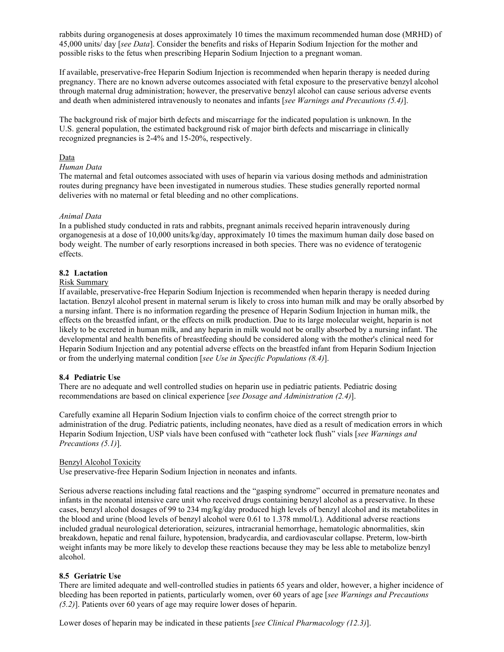rabbits during organogenesis at doses approximately 10 times the maximum recommended human dose (MRHD) of 45,000 units/ day [*see Data*]. Consider the benefits and risks of Heparin Sodium Injection for the mother and possible risks to the fetus when prescribing Heparin Sodium Injection to a pregnant woman.

If available, preservative-free Heparin Sodium Injection is recommended when heparin therapy is needed during pregnancy. There are no known adverse outcomes associated with fetal exposure to the preservative benzyl alcohol through maternal drug administration; however, the preservative benzyl alcohol can cause serious adverse events and death when administered intravenously to neonates and infants [*see Warnings and Precautions (5.4)*].

The background risk of major birth defects and miscarriage for the indicated population is unknown. In the U.S. general population, the estimated background risk of major birth defects and miscarriage in clinically recognized pregnancies is 2-4% and 15-20%, respectively.

#### Data

#### *Human Data*

The maternal and fetal outcomes associated with uses of heparin via various dosing methods and administration routes during pregnancy have been investigated in numerous studies. These studies generally reported normal deliveries with no maternal or fetal bleeding and no other complications.

#### *Animal Data*

In a published study conducted in rats and rabbits, pregnant animals received heparin intravenously during organogenesis at a dose of 10,000 units/kg/day, approximately 10 times the maximum human daily dose based on body weight. The number of early resorptions increased in both species. There was no evidence of teratogenic effects.

# **8.2 Lactation**

#### Risk Summary

If available, preservative-free Heparin Sodium Injection is recommended when heparin therapy is needed during lactation. Benzyl alcohol present in maternal serum is likely to cross into human milk and may be orally absorbed by a nursing infant. There is no information regarding the presence of Heparin Sodium Injection in human milk, the effects on the breastfed infant, or the effects on milk production. Due to its large molecular weight, heparin is not likely to be excreted in human milk, and any heparin in milk would not be orally absorbed by a nursing infant. The developmental and health benefits of breastfeeding should be considered along with the mother's clinical need for Heparin Sodium Injection and any potential adverse effects on the breastfed infant from Heparin Sodium Injection or from the underlying maternal condition [*see Use in Specific Populations (8.4)*].

## **8.4 Pediatric Use**

There are no adequate and well controlled studies on heparin use in pediatric patients. Pediatric dosing recommendations are based on clinical experience [*see Dosage and Administration (2.4)*].

Carefully examine all Heparin Sodium Injection vials to confirm choice of the correct strength prior to administration of the drug. Pediatric patients, including neonates, have died as a result of medication errors in which Heparin Sodium Injection, USP vials have been confused with "catheter lock flush" vials [*see Warnings and Precautions (5.1)*].

#### Benzyl Alcohol Toxicity

Use preservative-free Heparin Sodium Injection in neonates and infants.

Serious adverse reactions including fatal reactions and the "gasping syndrome" occurred in premature neonates and infants in the neonatal intensive care unit who received drugs containing benzyl alcohol as a preservative. In these cases, benzyl alcohol dosages of 99 to 234 mg/kg/day produced high levels of benzyl alcohol and its metabolites in the blood and urine (blood levels of benzyl alcohol were 0.61 to 1.378 mmol/L). Additional adverse reactions included gradual neurological deterioration, seizures, intracranial hemorrhage, hematologic abnormalities, skin breakdown, hepatic and renal failure, hypotension, bradycardia, and cardiovascular collapse. Preterm, low-birth weight infants may be more likely to develop these reactions because they may be less able to metabolize benzyl alcohol.

## **8.5 Geriatric Use**

There are limited adequate and well-controlled studies in patients 65 years and older, however, a higher incidence of bleeding has been reported in patients, particularly women, over 60 years of age [*see Warnings and Precautions (5.2)*]. Patients over 60 years of age may require lower doses of heparin.

Lower doses of heparin may be indicated in these patients [*see Clinical Pharmacology (12.3)*].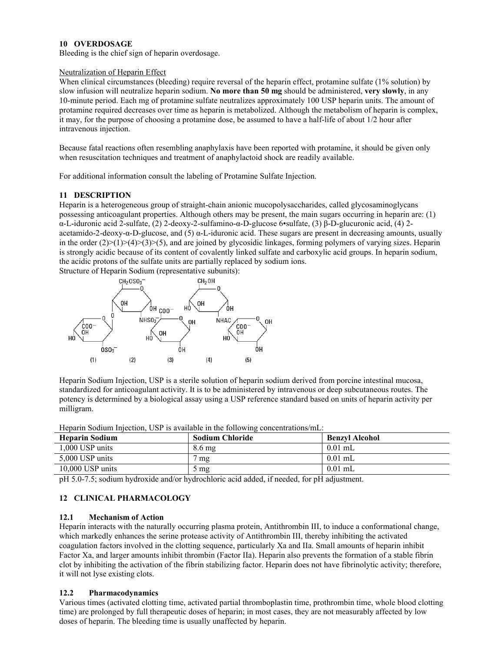## **10 OVERDOSAGE**

Bleeding is the chief sign of heparin overdosage.

#### Neutralization of Heparin Effect

When clinical circumstances (bleeding) require reversal of the heparin effect, protamine sulfate (1% solution) by slow infusion will neutralize heparin sodium. **No more than 50 mg** should be administered, **very slowly**, in any 10-minute period. Each mg of protamine sulfate neutralizes approximately 100 USP heparin units. The amount of protamine required decreases over time as heparin is metabolized. Although the metabolism of heparin is complex, it may, for the purpose of choosing a protamine dose, be assumed to have a half-life of about 1/2 hour after intravenous injection.

Because fatal reactions often resembling anaphylaxis have been reported with protamine, it should be given only when resuscitation techniques and treatment of anaphylactoid shock are readily available.

For additional information consult the labeling of Protamine Sulfate Injection.

## **11 DESCRIPTION**

Heparin is a heterogeneous group of straight-chain anionic mucopolysaccharides, called glycosaminoglycans possessing anticoagulant properties. Although others may be present, the main sugars occurring in heparin are: (1) α-L-iduronic acid 2-sulfate, (2) 2-deoxy-2-sulfamino-α-D-glucose 6•sulfate, (3) β-D-glucuronic acid, (4) 2 acetamido-2-deoxy-α-D-glucose, and (5) α-L-iduronic acid. These sugars are present in decreasing amounts, usually in the order  $(2)>(1)>(4)>(3)>(5)$ , and are joined by glycosidic linkages, forming polymers of varying sizes. Heparin is strongly acidic because of its content of covalently linked sulfate and carboxylic acid groups. In heparin sodium, the acidic protons of the sulfate units are partially replaced by sodium ions.



Heparin Sodium Injection, USP is a sterile solution of heparin sodium derived from porcine intestinal mucosa, standardized for anticoagulant activity. It is to be administered by intravenous or deep subcutaneous routes. The potency is determined by a biological assay using a USP reference standard based on units of heparin activity per milligram.

| <b>Heparin Sodium</b>                      | <b>Sodium Chloride</b> | <b>Benzyl Alcohol</b> |
|--------------------------------------------|------------------------|-----------------------|
| 1.000 USP units                            | $8.6 \text{ mg}$       | $0.01$ mL             |
| 5,000 USP units                            | mg                     | $0.01$ mL             |
| 10,000 USP units                           | $5 \text{ mg}$         | $0.01$ mL             |
| .<br>. .<br>.<br>.<br>$-  -$<br>-- - - - - |                        |                       |

Heparin Sodium Injection, USP is available in the following concentrations/mL:

pH 5.0-7.5; sodium hydroxide and/or hydrochloric acid added, if needed, for pH adjustment.

## **12 CLINICAL PHARMACOLOGY**

## **12.1 Mechanism of Action**

Heparin interacts with the naturally occurring plasma protein, Antithrombin III, to induce a conformational change, which markedly enhances the serine protease activity of Antithrombin III, thereby inhibiting the activated coagulation factors involved in the clotting sequence, particularly Xa and IIa. Small amounts of heparin inhibit Factor Xa, and larger amounts inhibit thrombin (Factor IIa). Heparin also prevents the formation of a stable fibrin clot by inhibiting the activation of the fibrin stabilizing factor. Heparin does not have fibrinolytic activity; therefore, it will not lyse existing clots.

## **12.2 Pharmacodynamics**

Various times (activated clotting time, activated partial thromboplastin time, prothrombin time, whole blood clotting time) are prolonged by full therapeutic doses of heparin; in most cases, they are not measurably affected by low doses of heparin. The bleeding time is usually unaffected by heparin.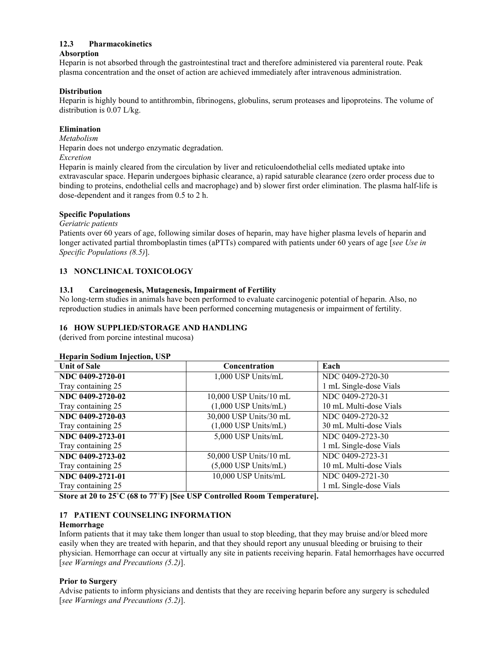## **12.3 Pharmacokinetics**

# **Absorption**

Heparin is not absorbed through the gastrointestinal tract and therefore administered via parenteral route. Peak plasma concentration and the onset of action are achieved immediately after intravenous administration.

# **Distribution**

Heparin is highly bound to antithrombin, fibrinogens, globulins, serum proteases and lipoproteins. The volume of distribution is 0.07 L/kg.

# **Elimination**

*Metabolism* 

Heparin does not undergo enzymatic degradation.

*Excretion* 

Heparin is mainly cleared from the circulation by liver and reticuloendothelial cells mediated uptake into extravascular space. Heparin undergoes biphasic clearance, a) rapid saturable clearance (zero order process due to binding to proteins, endothelial cells and macrophage) and b) slower first order elimination. The plasma half-life is dose-dependent and it ranges from 0.5 to 2 h.

## **Specific Populations**

*Geriatric patients* 

Patients over 60 years of age, following similar doses of heparin, may have higher plasma levels of heparin and longer activated partial thromboplastin times (aPTTs) compared with patients under 60 years of age [*see Use in Specific Populations (8.5)*].

# **13 NONCLINICAL TOXICOLOGY**

# **13.1 Carcinogenesis, Mutagenesis, Impairment of Fertility**

No long-term studies in animals have been performed to evaluate carcinogenic potential of heparin. Also, no reproduction studies in animals have been performed concerning mutagenesis or impairment of fertility.

# **16 HOW SUPPLIED/STORAGE AND HANDLING**

(derived from porcine intestinal mucosa)

## **Heparin Sodium Injection, USP**

| <b>Unit of Sale</b> | <b>Concentration</b>   | Each                   |
|---------------------|------------------------|------------------------|
| NDC 0409-2720-01    | 1,000 USP Units/mL     | NDC 0409-2720-30       |
| Tray containing 25  |                        | 1 mL Single-dose Vials |
| NDC 0409-2720-02    | 10,000 USP Units/10 mL | NDC 0409-2720-31       |
| Tray containing 25  | $(1,000$ USP Units/mL) | 10 mL Multi-dose Vials |
| NDC 0409-2720-03    | 30,000 USP Units/30 mL | NDC 0409-2720-32       |
| Tray containing 25  | $(1,000$ USP Units/mL) | 30 mL Multi-dose Vials |
| NDC 0409-2723-01    | 5,000 USP Units/mL     | NDC 0409-2723-30       |
| Tray containing 25  |                        | 1 mL Single-dose Vials |
| NDC 0409-2723-02    | 50,000 USP Units/10 mL | NDC 0409-2723-31       |
| Tray containing 25  | $(5,000$ USP Units/mL) | 10 mL Multi-dose Vials |
| NDC 0409-2721-01    | 10,000 USP Units/mL    | NDC 0409-2721-30       |
| Tray containing 25  |                        | 1 mL Single-dose Vials |

**Store at 20 to 25˚C (68 to 77˚F) [See USP Controlled Room Temperature].**

## **17 PATIENT COUNSELING INFORMATION**

## **Hemorrhage**

Inform patients that it may take them longer than usual to stop bleeding, that they may bruise and/or bleed more easily when they are treated with heparin, and that they should report any unusual bleeding or bruising to their physician. Hemorrhage can occur at virtually any site in patients receiving heparin. Fatal hemorrhages have occurred [*see Warnings and Precautions (5.2)*].

## **Prior to Surgery**

Advise patients to inform physicians and dentists that they are receiving heparin before any surgery is scheduled [*see Warnings and Precautions (5.2)*].